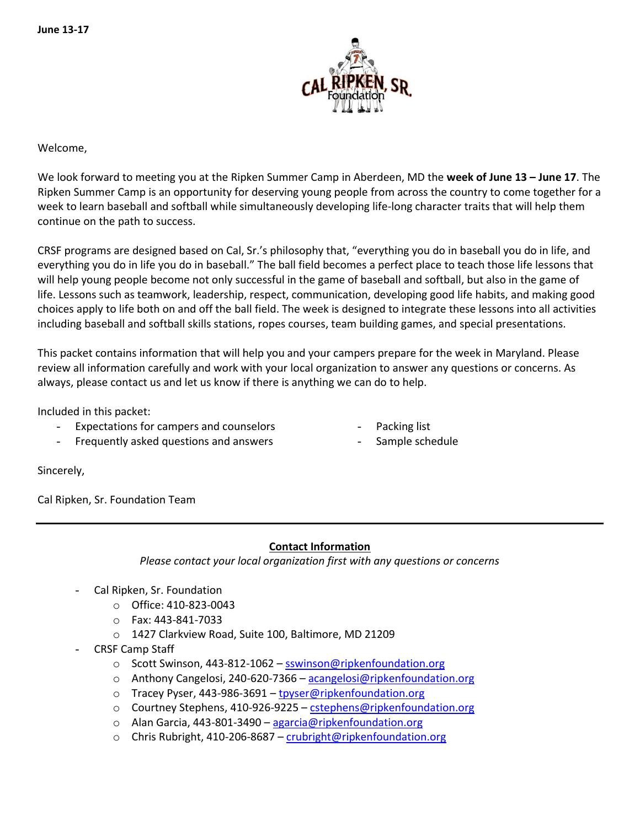

Welcome,

We look forward to meeting you at the Ripken Summer Camp in Aberdeen, MD the **week of June 13 – June 17**. The Ripken Summer Camp is an opportunity for deserving young people from across the country to come together for a week to learn baseball and softball while simultaneously developing life-long character traits that will help them continue on the path to success.

CRSF programs are designed based on Cal, Sr.'s philosophy that, "everything you do in baseball you do in life, and everything you do in life you do in baseball." The ball field becomes a perfect place to teach those life lessons that will help young people become not only successful in the game of baseball and softball, but also in the game of life. Lessons such as teamwork, leadership, respect, communication, developing good life habits, and making good choices apply to life both on and off the ball field. The week is designed to integrate these lessons into all activities including baseball and softball skills stations, ropes courses, team building games, and special presentations.

This packet contains information that will help you and your campers prepare for the week in Maryland. Please review all information carefully and work with your local organization to answer any questions or concerns. As always, please contact us and let us know if there is anything we can do to help.

Included in this packet:

- Expectations for campers and counselors
	- Frequently asked questions and answers
- Packing list
- Sample schedule

Sincerely,

Cal Ripken, Sr. Foundation Team

## **Contact Information**

*Please contact your local organization first with any questions or concerns*

- Cal Ripken, Sr. Foundation
	- o Office: 410-823-0043
	- o Fax: 443-841-7033
	- o 1427 Clarkview Road, Suite 100, Baltimore, MD 21209
- CRSF Camp Staff
	- o Scott Swinson, 443-812-1062 [sswinson@ripkenfoundation.org](mailto:sswinson@ripkenfoundation.org)
	- o Anthony Cangelosi, 240-620-7366 [acangelosi@ripkenfoundation.org](mailto:acangelosi@ripkenfoundation.org)
	- o Tracey Pyser, 443-986-3691 [tpyser@ripkenfoundation.org](mailto:tpyser@ripkenfoundation.org)
	- $\circ$  Courtney Stephens, 410-926-9225 [cstephens@ripkenfoundation.org](mailto:cstephens@ripkenfoundation.org)
	- o Alan Garcia, 443-801-3490 [agarcia@ripkenfoundation.org](mailto:agarcia@ripkenfoundation.org)
	- o Chris Rubright, 410-206-8687 [crubright@ripkenfoundation.org](mailto:crubright@ripkenfoundation.org)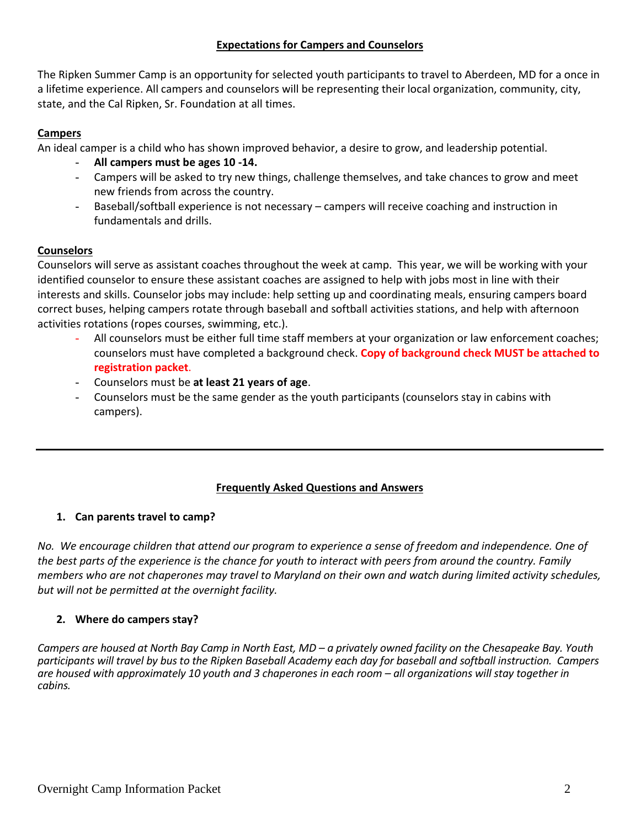## **Expectations for Campers and Counselors**

The Ripken Summer Camp is an opportunity for selected youth participants to travel to Aberdeen, MD for a once in a lifetime experience. All campers and counselors will be representing their local organization, community, city, state, and the Cal Ripken, Sr. Foundation at all times.

## **Campers**

An ideal camper is a child who has shown improved behavior, a desire to grow, and leadership potential.

- **All campers must be ages 10 -14.**
- Campers will be asked to try new things, challenge themselves, and take chances to grow and meet new friends from across the country.
- Baseball/softball experience is not necessary campers will receive coaching and instruction in fundamentals and drills.

## **Counselors**

Counselors will serve as assistant coaches throughout the week at camp. This year, we will be working with your identified counselor to ensure these assistant coaches are assigned to help with jobs most in line with their interests and skills. Counselor jobs may include: help setting up and coordinating meals, ensuring campers board correct buses, helping campers rotate through baseball and softball activities stations, and help with afternoon activities rotations (ropes courses, swimming, etc.).

- All counselors must be either full time staff members at your organization or law enforcement coaches; counselors must have completed a background check. **Copy of background check MUST be attached to registration packet**.
- Counselors must be **at least 21 years of age**.
- Counselors must be the same gender as the youth participants (counselors stay in cabins with campers).

# **Frequently Asked Questions and Answers**

# **1. Can parents travel to camp?**

*No. We encourage children that attend our program to experience a sense of freedom and independence. One of the best parts of the experience is the chance for youth to interact with peers from around the country. Family members who are not chaperones may travel to Maryland on their own and watch during limited activity schedules, but will not be permitted at the overnight facility.* 

# **2. Where do campers stay?**

*Campers are housed at North Bay Camp in North East, MD – a privately owned facility on the Chesapeake Bay. Youth participants will travel by bus to the Ripken Baseball Academy each day for baseball and softball instruction. Campers are housed with approximately 10 youth and 3 chaperones in each room – all organizations will stay together in cabins.*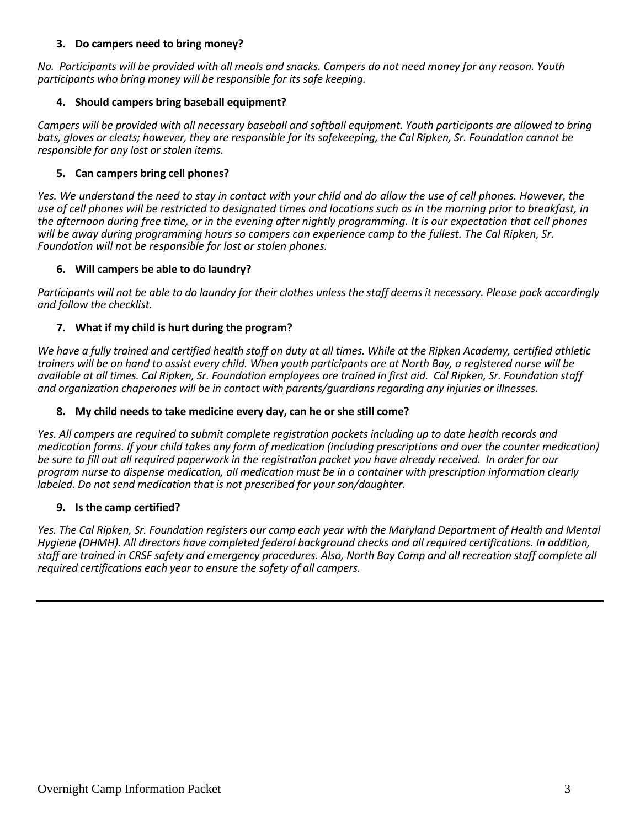### **3. Do campers need to bring money?**

*No. Participants will be provided with all meals and snacks. Campers do not need money for any reason. Youth participants who bring money will be responsible for its safe keeping.* 

## **4. Should campers bring baseball equipment?**

*Campers will be provided with all necessary baseball and softball equipment. Youth participants are allowed to bring bats, gloves or cleats; however, they are responsible for its safekeeping, the Cal Ripken, Sr. Foundation cannot be responsible for any lost or stolen items.* 

## **5. Can campers bring cell phones?**

*Yes. We understand the need to stay in contact with your child and do allow the use of cell phones. However, the use of cell phones will be restricted to designated times and locations such as in the morning prior to breakfast, in the afternoon during free time, or in the evening after nightly programming. It is our expectation that cell phones will be away during programming hours so campers can experience camp to the fullest. The Cal Ripken, Sr. Foundation will not be responsible for lost or stolen phones.* 

#### **6. Will campers be able to do laundry?**

*Participants will not be able to do laundry for their clothes unless the staff deems it necessary. Please pack accordingly and follow the checklist.* 

## **7. What if my child is hurt during the program?**

*We have a fully trained and certified health staff on duty at all times. While at the Ripken Academy, certified athletic trainers will be on hand to assist every child. When youth participants are at North Bay, a registered nurse will be available at all times. Cal Ripken, Sr. Foundation employees are trained in first aid. Cal Ripken, Sr. Foundation staff and organization chaperones will be in contact with parents/guardians regarding any injuries or illnesses.*

#### **8. My child needs to take medicine every day, can he or she still come?**

*Yes. All campers are required to submit complete registration packets including up to date health records and medication forms. If your child takes any form of medication (including prescriptions and over the counter medication) be sure to fill out all required paperwork in the registration packet you have already received. In order for our program nurse to dispense medication, all medication must be in a container with prescription information clearly labeled. Do not send medication that is not prescribed for your son/daughter.*

#### **9. Is the camp certified?**

*Yes. The Cal Ripken, Sr. Foundation registers our camp each year with the Maryland Department of Health and Mental Hygiene (DHMH). All directors have completed federal background checks and all required certifications. In addition, staff are trained in CRSF safety and emergency procedures. Also, North Bay Camp and all recreation staff complete all required certifications each year to ensure the safety of all campers.*